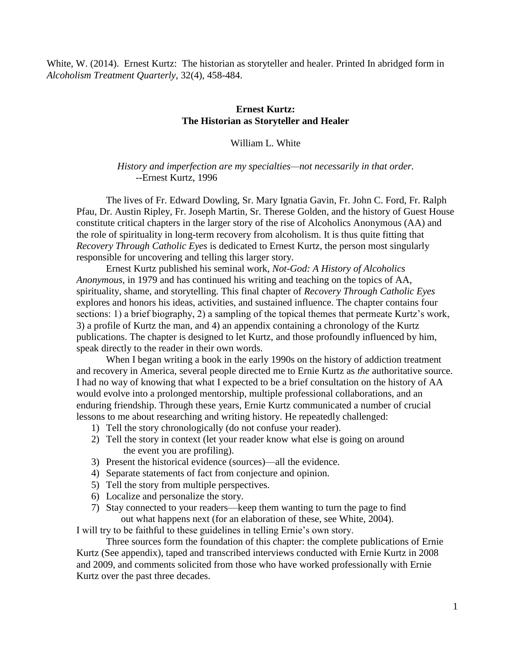White, W. (2014). Ernest Kurtz: The historian as storyteller and healer. Printed In abridged form in *Alcoholism Treatment Quarterly*, 32(4), 458-484.

# **Ernest Kurtz: The Historian as Storyteller and Healer**

## William L. White

*History and imperfection are my specialties—not necessarily in that order. --*Ernest Kurtz, 1996

The lives of Fr. Edward Dowling, Sr. Mary Ignatia Gavin, Fr. John C. Ford, Fr. Ralph Pfau, Dr. Austin Ripley, Fr. Joseph Martin, Sr. Therese Golden, and the history of Guest House constitute critical chapters in the larger story of the rise of Alcoholics Anonymous (AA) and the role of spirituality in long-term recovery from alcoholism. It is thus quite fitting that *Recovery Through Catholic Eyes* is dedicated to Ernest Kurtz, the person most singularly responsible for uncovering and telling this larger story.

Ernest Kurtz published his seminal work, *Not-God: A History of Alcoholics Anonymous*, in 1979 and has continued his writing and teaching on the topics of AA, spirituality, shame, and storytelling. This final chapter of *Recovery Through Catholic Eyes* explores and honors his ideas, activities, and sustained influence. The chapter contains four sections: 1) a brief biography, 2) a sampling of the topical themes that permeate Kurtz's work, 3) a profile of Kurtz the man, and 4) an appendix containing a chronology of the Kurtz publications. The chapter is designed to let Kurtz, and those profoundly influenced by him, speak directly to the reader in their own words.

When I began writing a book in the early 1990s on the history of addiction treatment and recovery in America, several people directed me to Ernie Kurtz as *the* authoritative source. I had no way of knowing that what I expected to be a brief consultation on the history of AA would evolve into a prolonged mentorship, multiple professional collaborations, and an enduring friendship. Through these years, Ernie Kurtz communicated a number of crucial lessons to me about researching and writing history. He repeatedly challenged:

- 1) Tell the story chronologically (do not confuse your reader).
- 2) Tell the story in context (let your reader know what else is going on around the event you are profiling).
- 3) Present the historical evidence (sources)—all the evidence.
- 4) Separate statements of fact from conjecture and opinion.
- 5) Tell the story from multiple perspectives.
- 6) Localize and personalize the story.
- 7) Stay connected to your readers—keep them wanting to turn the page to find out what happens next (for an elaboration of these, see White, 2004).

I will try to be faithful to these guidelines in telling Ernie's own story.

Three sources form the foundation of this chapter: the complete publications of Ernie Kurtz (See appendix), taped and transcribed interviews conducted with Ernie Kurtz in 2008 and 2009, and comments solicited from those who have worked professionally with Ernie Kurtz over the past three decades.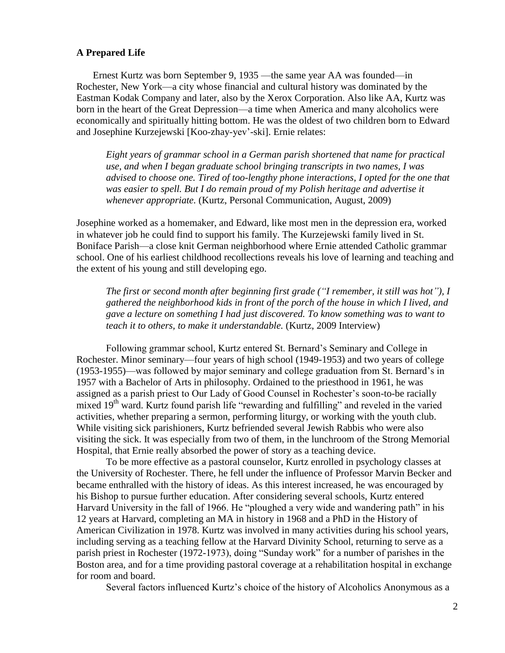### **A Prepared Life**

Ernest Kurtz was born September 9, 1935 —the same year AA was founded—in Rochester, New York—a city whose financial and cultural history was dominated by the Eastman Kodak Company and later, also by the Xerox Corporation. Also like AA, Kurtz was born in the heart of the Great Depression—a time when America and many alcoholics were economically and spiritually hitting bottom. He was the oldest of two children born to Edward and Josephine Kurzejewski [Koo-zhay-yev'-ski]. Ernie relates:

*Eight years of grammar school in a German parish shortened that name for practical use, and when I began graduate school bringing transcripts in two names, I was advised to choose one. Tired of too-lengthy phone interactions, I opted for the one that was easier to spell. But I do remain proud of my Polish heritage and advertise it whenever appropriate.* (Kurtz, Personal Communication, August, 2009)

Josephine worked as a homemaker, and Edward, like most men in the depression era, worked in whatever job he could find to support his family. The Kurzejewski family lived in St. Boniface Parish—a close knit German neighborhood where Ernie attended Catholic grammar school. One of his earliest childhood recollections reveals his love of learning and teaching and the extent of his young and still developing ego.

*The first or second month after beginning first grade ("I remember, it still was hot"), I gathered the neighborhood kids in front of the porch of the house in which I lived, and gave a lecture on something I had just discovered. To know something was to want to teach it to others, to make it understandable.* (Kurtz, 2009 Interview)

Following grammar school, Kurtz entered St. Bernard's Seminary and College in Rochester. Minor seminary—four years of high school (1949-1953) and two years of college (1953-1955)—was followed by major seminary and college graduation from St. Bernard's in 1957 with a Bachelor of Arts in philosophy. Ordained to the priesthood in 1961, he was assigned as a parish priest to Our Lady of Good Counsel in Rochester's soon-to-be racially mixed 19<sup>th</sup> ward. Kurtz found parish life "rewarding and fulfilling" and reveled in the varied activities, whether preparing a sermon, performing liturgy, or working with the youth club. While visiting sick parishioners, Kurtz befriended several Jewish Rabbis who were also visiting the sick. It was especially from two of them, in the lunchroom of the Strong Memorial Hospital, that Ernie really absorbed the power of story as a teaching device.

To be more effective as a pastoral counselor, Kurtz enrolled in psychology classes at the University of Rochester. There, he fell under the influence of Professor Marvin Becker and became enthralled with the history of ideas. As this interest increased, he was encouraged by his Bishop to pursue further education. After considering several schools, Kurtz entered Harvard University in the fall of 1966. He "ploughed a very wide and wandering path" in his 12 years at Harvard, completing an MA in history in 1968 and a PhD in the History of American Civilization in 1978. Kurtz was involved in many activities during his school years, including serving as a teaching fellow at the Harvard Divinity School, returning to serve as a parish priest in Rochester (1972-1973), doing "Sunday work" for a number of parishes in the Boston area, and for a time providing pastoral coverage at a rehabilitation hospital in exchange for room and board.

Several factors influenced Kurtz's choice of the history of Alcoholics Anonymous as a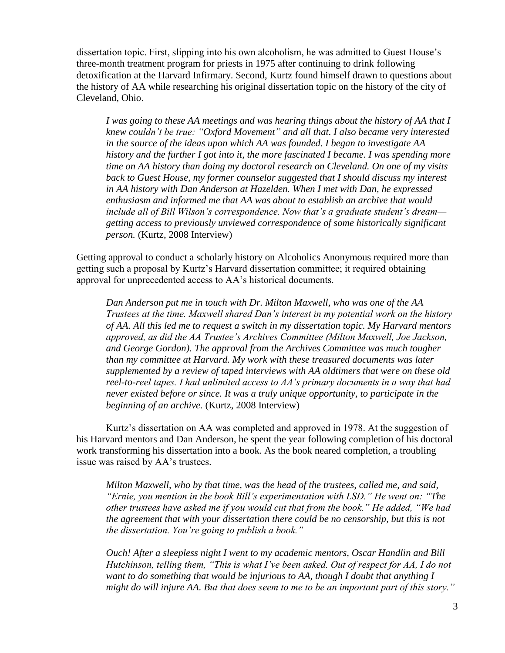dissertation topic. First, slipping into his own alcoholism, he was admitted to Guest House's three-month treatment program for priests in 1975 after continuing to drink following detoxification at the Harvard Infirmary. Second, Kurtz found himself drawn to questions about the history of AA while researching his original dissertation topic on the history of the city of Cleveland, Ohio.

*I was going to these AA meetings and was hearing things about the history of AA that I knew couldn't be true: "Oxford Movement" and all that. I also became very interested in the source of the ideas upon which AA was founded. I began to investigate AA history and the further I got into it, the more fascinated I became. I was spending more time on AA history than doing my doctoral research on Cleveland. On one of my visits back to Guest House, my former counselor suggested that I should discuss my interest in AA history with Dan Anderson at Hazelden. When I met with Dan, he expressed enthusiasm and informed me that AA was about to establish an archive that would include all of Bill Wilson's correspondence. Now that's a graduate student's dream getting access to previously unviewed correspondence of some historically significant person.* (Kurtz, 2008 Interview)

Getting approval to conduct a scholarly history on Alcoholics Anonymous required more than getting such a proposal by Kurtz's Harvard dissertation committee; it required obtaining approval for unprecedented access to AA's historical documents.

*Dan Anderson put me in touch with Dr. Milton Maxwell, who was one of the AA Trustees at the time. Maxwell shared Dan's interest in my potential work on the history of AA. All this led me to request a switch in my dissertation topic. My Harvard mentors approved, as did the AA Trustee's Archives Committee (Milton Maxwell, Joe Jackson, and George Gordon). The approval from the Archives Committee was much tougher than my committee at Harvard. My work with these treasured documents was later supplemented by a review of taped interviews with AA oldtimers that were on these old reel-to-reel tapes. I had unlimited access to AA's primary documents in a way that had never existed before or since. It was a truly unique opportunity, to participate in the beginning of an archive.* (Kurtz, 2008 Interview)

Kurtz's dissertation on AA was completed and approved in 1978. At the suggestion of his Harvard mentors and Dan Anderson, he spent the year following completion of his doctoral work transforming his dissertation into a book. As the book neared completion, a troubling issue was raised by AA's trustees.

*Milton Maxwell, who by that time, was the head of the trustees, called me, and said, "Ernie, you mention in the book Bill's experimentation with LSD." He went on: "The other trustees have asked me if you would cut that from the book." He added, "We had the agreement that with your dissertation there could be no censorship, but this is not the dissertation. You're going to publish a book."* 

*Ouch! After a sleepless night I went to my academic mentors, Oscar Handlin and Bill Hutchinson, telling them, "This is what I've been asked. Out of respect for AA, I do not want to do something that would be injurious to AA, though I doubt that anything I might do will injure AA. But that does seem to me to be an important part of this story."*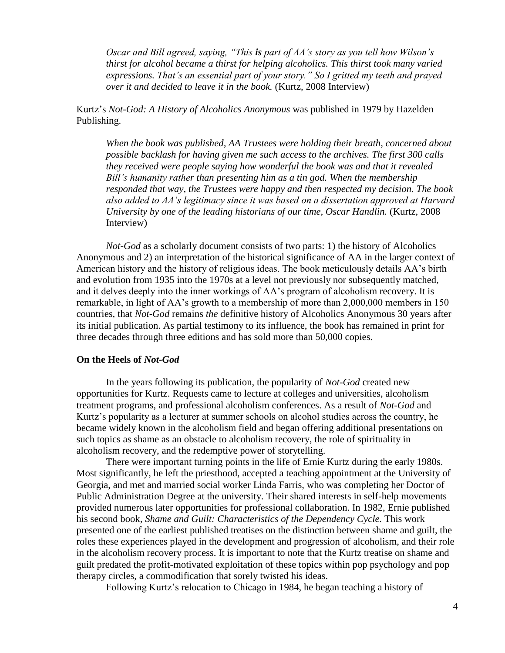*Oscar and Bill agreed, saying, "This is part of AA's story as you tell how Wilson's thirst for alcohol became a thirst for helping alcoholics. This thirst took many varied expressions. That's an essential part of your story." So I gritted my teeth and prayed over it and decided to leave it in the book.* (Kurtz, 2008 Interview)

Kurtz's *Not-God: A History of Alcoholics Anonymous* was published in 1979 by Hazelden Publishing.

*When the book was published, AA Trustees were holding their breath, concerned about possible backlash for having given me such access to the archives. The first 300 calls they received were people saying how wonderful the book was and that it revealed Bill's humanity rather than presenting him as a tin god. When the membership responded that way, the Trustees were happy and then respected my decision. The book also added to AA's legitimacy since it was based on a dissertation approved at Harvard University by one of the leading historians of our time, Oscar Handlin.* (Kurtz, 2008) Interview)

*Not-God* as a scholarly document consists of two parts: 1) the history of Alcoholics Anonymous and 2) an interpretation of the historical significance of AA in the larger context of American history and the history of religious ideas. The book meticulously details AA's birth and evolution from 1935 into the 1970s at a level not previously nor subsequently matched, and it delves deeply into the inner workings of AA's program of alcoholism recovery. It is remarkable, in light of AA's growth to a membership of more than 2,000,000 members in 150 countries, that *Not-God* remains *the* definitive history of Alcoholics Anonymous 30 years after its initial publication. As partial testimony to its influence, the book has remained in print for three decades through three editions and has sold more than 50,000 copies.

### **On the Heels of** *Not-God*

In the years following its publication, the popularity of *Not-God* created new opportunities for Kurtz. Requests came to lecture at colleges and universities, alcoholism treatment programs, and professional alcoholism conferences. As a result of *Not-God* and Kurtz's popularity as a lecturer at summer schools on alcohol studies across the country, he became widely known in the alcoholism field and began offering additional presentations on such topics as shame as an obstacle to alcoholism recovery, the role of spirituality in alcoholism recovery, and the redemptive power of storytelling.

There were important turning points in the life of Ernie Kurtz during the early 1980s. Most significantly, he left the priesthood, accepted a teaching appointment at the University of Georgia, and met and married social worker Linda Farris, who was completing her Doctor of Public Administration Degree at the university. Their shared interests in self-help movements provided numerous later opportunities for professional collaboration. In 1982, Ernie published his second book, *Shame and Guilt: Characteristics of the Dependency Cycle.* This work presented one of the earliest published treatises on the distinction between shame and guilt, the roles these experiences played in the development and progression of alcoholism, and their role in the alcoholism recovery process. It is important to note that the Kurtz treatise on shame and guilt predated the profit-motivated exploitation of these topics within pop psychology and pop therapy circles, a commodification that sorely twisted his ideas.

Following Kurtz's relocation to Chicago in 1984, he began teaching a history of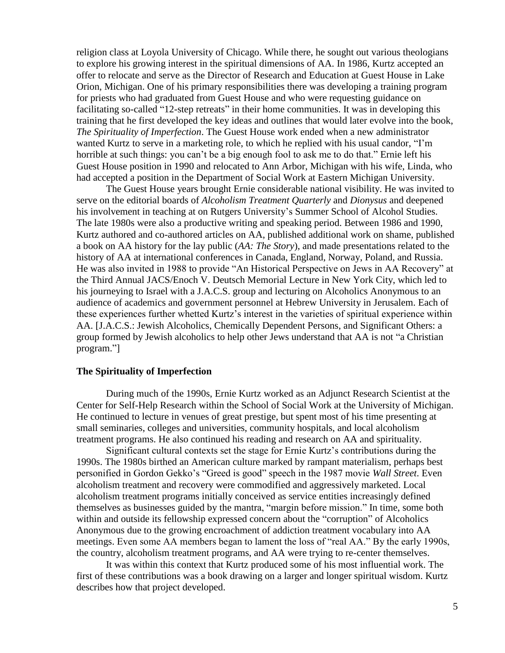religion class at Loyola University of Chicago. While there, he sought out various theologians to explore his growing interest in the spiritual dimensions of AA. In 1986, Kurtz accepted an offer to relocate and serve as the Director of Research and Education at Guest House in Lake Orion, Michigan. One of his primary responsibilities there was developing a training program for priests who had graduated from Guest House and who were requesting guidance on facilitating so-called "12-step retreats" in their home communities. It was in developing this training that he first developed the key ideas and outlines that would later evolve into the book, *The Spirituality of Imperfection*. The Guest House work ended when a new administrator wanted Kurtz to serve in a marketing role, to which he replied with his usual candor, "I'm horrible at such things: you can't be a big enough fool to ask me to do that." Ernie left his Guest House position in 1990 and relocated to Ann Arbor, Michigan with his wife, Linda, who had accepted a position in the Department of Social Work at Eastern Michigan University.

The Guest House years brought Ernie considerable national visibility. He was invited to serve on the editorial boards of *Alcoholism Treatment Quarterly* and *Dionysus* and deepened his involvement in teaching at on Rutgers University's Summer School of Alcohol Studies. The late 1980s were also a productive writing and speaking period. Between 1986 and 1990, Kurtz authored and co-authored articles on AA, published additional work on shame, published a book on AA history for the lay public (*AA: The Story*), and made presentations related to the history of AA at international conferences in Canada, England, Norway, Poland, and Russia. He was also invited in 1988 to provide "An Historical Perspective on Jews in AA Recovery" at the Third Annual JACS/Enoch V. Deutsch Memorial Lecture in New York City, which led to his journeying to Israel with a J.A.C.S. group and lecturing on Alcoholics Anonymous to an audience of academics and government personnel at Hebrew University in Jerusalem. Each of these experiences further whetted Kurtz's interest in the varieties of spiritual experience within AA. [J.A.C.S.: Jewish Alcoholics, Chemically Dependent Persons, and Significant Others: a group formed by Jewish alcoholics to help other Jews understand that AA is not "a Christian program."]

### **The Spirituality of Imperfection**

During much of the 1990s, Ernie Kurtz worked as an Adjunct Research Scientist at the Center for Self-Help Research within the School of Social Work at the University of Michigan. He continued to lecture in venues of great prestige, but spent most of his time presenting at small seminaries, colleges and universities, community hospitals, and local alcoholism treatment programs. He also continued his reading and research on AA and spirituality.

Significant cultural contexts set the stage for Ernie Kurtz's contributions during the 1990s. The 1980s birthed an American culture marked by rampant materialism, perhaps best personified in Gordon Gekko's "Greed is good" speech in the 1987 movie *Wall Street*. Even alcoholism treatment and recovery were commodified and aggressively marketed. Local alcoholism treatment programs initially conceived as service entities increasingly defined themselves as businesses guided by the mantra, "margin before mission." In time, some both within and outside its fellowship expressed concern about the "corruption" of Alcoholics Anonymous due to the growing encroachment of addiction treatment vocabulary into AA meetings. Even some AA members began to lament the loss of "real AA." By the early 1990s, the country, alcoholism treatment programs, and AA were trying to re-center themselves.

It was within this context that Kurtz produced some of his most influential work. The first of these contributions was a book drawing on a larger and longer spiritual wisdom. Kurtz describes how that project developed.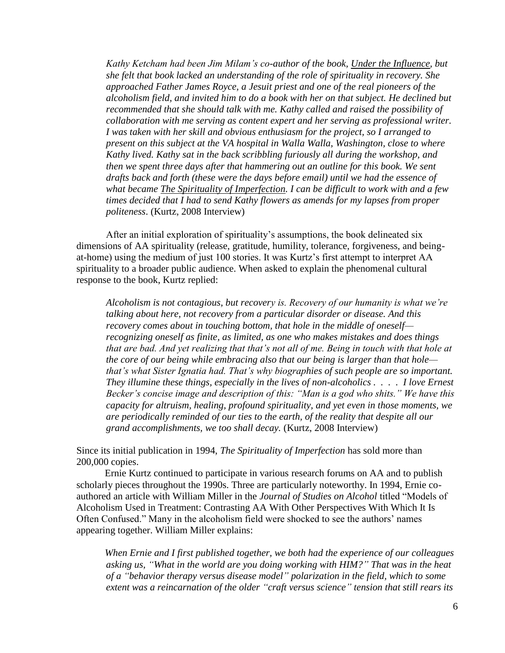*Kathy Ketcham had been Jim Milam's co-author of the book, Under the Influence, but she felt that book lacked an understanding of the role of spirituality in recovery. She approached Father James Royce, a Jesuit priest and one of the real pioneers of the alcoholism field, and invited him to do a book with her on that subject. He declined but recommended that she should talk with me. Kathy called and raised the possibility of collaboration with me serving as content expert and her serving as professional writer. I was taken with her skill and obvious enthusiasm for the project, so I arranged to present on this subject at the VA hospital in Walla Walla, Washington, close to where Kathy lived. Kathy sat in the back scribbling furiously all during the workshop, and then we spent three days after that hammering out an outline for this book. We sent drafts back and forth (these were the days before email) until we had the essence of what became The Spirituality of Imperfection. I can be difficult to work with and a few times decided that I had to send Kathy flowers as amends for my lapses from proper politeness*. (Kurtz, 2008 Interview)

After an initial exploration of spirituality's assumptions, the book delineated six dimensions of AA spirituality (release, gratitude, humility, tolerance, forgiveness, and beingat-home) using the medium of just 100 stories. It was Kurtz's first attempt to interpret AA spirituality to a broader public audience. When asked to explain the phenomenal cultural response to the book, Kurtz replied:

*Alcoholism is not contagious, but recovery is. Recovery of our humanity is what we're talking about here, not recovery from a particular disorder or disease. And this recovery comes about in touching bottom, that hole in the middle of oneself recognizing oneself as finite, as limited, as one who makes mistakes and does things that are bad. And yet realizing that that's not all of me. Being in touch with that hole at the core of our being while embracing also that our being is larger than that hole that's what Sister Ignatia had. That's why biographies of such people are so important. They illumine these things, especially in the lives of non-alcoholics . . . . I love Ernest Becker's concise image and description of this: "Man is a god who shits." We have this capacity for altruism, healing, profound spirituality, and yet even in those moments, we are periodically reminded of our ties to the earth, of the reality that despite all our grand accomplishments, we too shall decay.* (Kurtz, 2008 Interview)

Since its initial publication in 1994, *The Spirituality of Imperfection* has sold more than 200,000 copies.

Ernie Kurtz continued to participate in various research forums on AA and to publish scholarly pieces throughout the 1990s. Three are particularly noteworthy. In 1994, Ernie coauthored an article with William Miller in the *Journal of Studies on Alcohol* titled "Models of Alcoholism Used in Treatment: Contrasting AA With Other Perspectives With Which It Is Often Confused." Many in the alcoholism field were shocked to see the authors' names appearing together. William Miller explains:

*When Ernie and I first published together, we both had the experience of our colleagues asking us, "What in the world are you doing working with HIM?" That was in the heat of a "behavior therapy versus disease model" polarization in the field, which to some extent was a reincarnation of the older "craft versus science" tension that still rears its*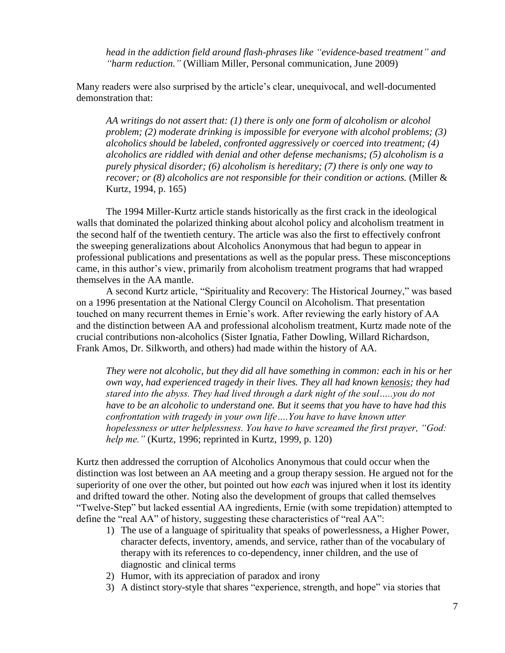*head in the addiction field around flash-phrases like "evidence-based treatment" and "harm reduction."* (William Miller, Personal communication, June 2009)

Many readers were also surprised by the article's clear, unequivocal, and well-documented demonstration that:

*AA writings do not assert that: (1) there is only one form of alcoholism or alcohol problem; (2) moderate drinking is impossible for everyone with alcohol problems; (3) alcoholics should be labeled, confronted aggressively or coerced into treatment; (4) alcoholics are riddled with denial and other defense mechanisms; (5) alcoholism is a purely physical disorder; (6) alcoholism is hereditary; (7) there is only one way to recover; or (8) alcoholics are not responsible for their condition or actions.* (Miller & Kurtz, 1994, p. 165)

The 1994 Miller-Kurtz article stands historically as the first crack in the ideological walls that dominated the polarized thinking about alcohol policy and alcoholism treatment in the second half of the twentieth century. The article was also the first to effectively confront the sweeping generalizations about Alcoholics Anonymous that had begun to appear in professional publications and presentations as well as the popular press. These misconceptions came, in this author's view, primarily from alcoholism treatment programs that had wrapped themselves in the AA mantle.

A second Kurtz article, "Spirituality and Recovery: The Historical Journey," was based on a 1996 presentation at the National Clergy Council on Alcoholism. That presentation touched on many recurrent themes in Ernie's work. After reviewing the early history of AA and the distinction between AA and professional alcoholism treatment, Kurtz made note of the crucial contributions non-alcoholics (Sister Ignatia, Father Dowling, Willard Richardson, Frank Amos, Dr. Silkworth, and others) had made within the history of AA.

*They were not alcoholic, but they did all have something in common: each in his or her own way, had experienced tragedy in their lives. They all had known kenosis; they had stared into the abyss. They had lived through a dark night of the soul…..you do not have to be an alcoholic to understand one. But it seems that you have to have had this confrontation with tragedy in your own life….You have to have known utter hopelessness or utter helplessness. You have to have screamed the first prayer, "God: help me."* (Kurtz, 1996; reprinted in Kurtz, 1999, p. 120)

Kurtz then addressed the corruption of Alcoholics Anonymous that could occur when the distinction was lost between an AA meeting and a group therapy session. He argued not for the superiority of one over the other, but pointed out how *each* was injured when it lost its identity and drifted toward the other. Noting also the development of groups that called themselves "Twelve-Step" but lacked essential AA ingredients, Ernie (with some trepidation) attempted to define the "real AA" of history, suggesting these characteristics of "real AA":

- 1) The use of a language of spirituality that speaks of powerlessness, a Higher Power, character defects, inventory, amends, and service, rather than of the vocabulary of therapy with its references to co-dependency, inner children, and the use of diagnostic and clinical terms
- 2) Humor, with its appreciation of paradox and irony
- 3) A distinct story-style that shares "experience, strength, and hope" via stories that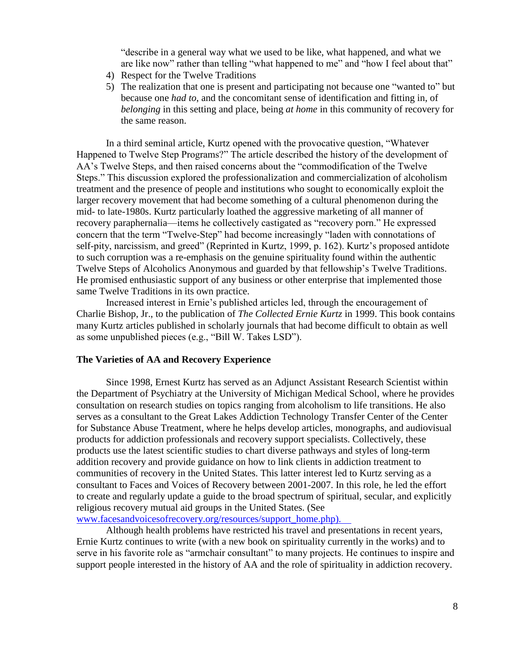"describe in a general way what we used to be like, what happened, and what we are like now" rather than telling "what happened to me" and "how I feel about that"

- 4) Respect for the Twelve Traditions
- 5) The realization that one is present and participating not because one "wanted to" but because one *had to*, and the concomitant sense of identification and fitting in, of *belonging* in this setting and place, being *at home* in this community of recovery for the same reason.

In a third seminal article, Kurtz opened with the provocative question, "Whatever Happened to Twelve Step Programs?" The article described the history of the development of AA's Twelve Steps, and then raised concerns about the "commodification of the Twelve Steps." This discussion explored the professionalization and commercialization of alcoholism treatment and the presence of people and institutions who sought to economically exploit the larger recovery movement that had become something of a cultural phenomenon during the mid- to late-1980s. Kurtz particularly loathed the aggressive marketing of all manner of recovery paraphernalia—items he collectively castigated as "recovery porn." He expressed concern that the term "Twelve-Step" had become increasingly "laden with connotations of self-pity, narcissism, and greed" (Reprinted in Kurtz, 1999, p. 162). Kurtz's proposed antidote to such corruption was a re-emphasis on the genuine spirituality found within the authentic Twelve Steps of Alcoholics Anonymous and guarded by that fellowship's Twelve Traditions. He promised enthusiastic support of any business or other enterprise that implemented those same Twelve Traditions in its own practice.

Increased interest in Ernie's published articles led, through the encouragement of Charlie Bishop, Jr., to the publication of *The Collected Ernie Kurtz* in 1999. This book contains many Kurtz articles published in scholarly journals that had become difficult to obtain as well as some unpublished pieces (e.g., "Bill W. Takes LSD").

### **The Varieties of AA and Recovery Experience**

Since 1998, Ernest Kurtz has served as an Adjunct Assistant Research Scientist within the Department of Psychiatry at the University of Michigan Medical School, where he provides consultation on research studies on topics ranging from alcoholism to life transitions. He also serves as a consultant to the Great Lakes Addiction Technology Transfer Center of the Center for Substance Abuse Treatment, where he helps develop articles, monographs, and audiovisual products for addiction professionals and recovery support specialists. Collectively, these products use the latest scientific studies to chart diverse pathways and styles of long-term addition recovery and provide guidance on how to link clients in addiction treatment to communities of recovery in the United States. This latter interest led to Kurtz serving as a consultant to Faces and Voices of Recovery between 2001-2007. In this role, he led the effort to create and regularly update a guide to the broad spectrum of spiritual, secular, and explicitly religious recovery mutual aid groups in the United States. (See www.facesandvoicesofrecovery.org/resources/support\_home.php).

Although health problems have restricted his travel and presentations in recent years, Ernie Kurtz continues to write (with a new book on spirituality currently in the works) and to serve in his favorite role as "armchair consultant" to many projects. He continues to inspire and support people interested in the history of AA and the role of spirituality in addiction recovery.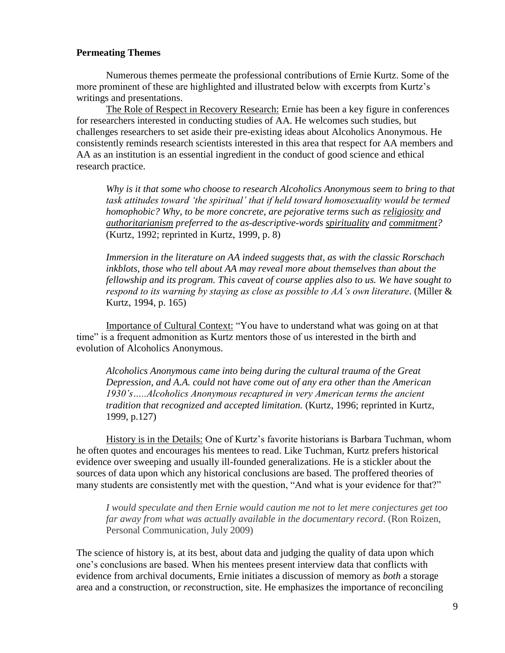## **Permeating Themes**

Numerous themes permeate the professional contributions of Ernie Kurtz. Some of the more prominent of these are highlighted and illustrated below with excerpts from Kurtz's writings and presentations.

The Role of Respect in Recovery Research: Ernie has been a key figure in conferences for researchers interested in conducting studies of AA. He welcomes such studies, but challenges researchers to set aside their pre-existing ideas about Alcoholics Anonymous. He consistently reminds research scientists interested in this area that respect for AA members and AA as an institution is an essential ingredient in the conduct of good science and ethical research practice.

*Why is it that some who choose to research Alcoholics Anonymous seem to bring to that task attitudes toward 'the spiritual' that if held toward homosexuality would be termed homophobic? Why, to be more concrete, are pejorative terms such as religiosity and authoritarianism preferred to the as-descriptive-words spirituality and commitment?* (Kurtz, 1992; reprinted in Kurtz, 1999, p. 8)

*Immersion in the literature on AA indeed suggests that, as with the classic Rorschach inkblots, those who tell about AA may reveal more about themselves than about the fellowship and its program. This caveat of course applies also to us. We have sought to respond to its warning by staying as close as possible to AA's own literature*. (Miller & Kurtz, 1994, p. 165)

Importance of Cultural Context: "You have to understand what was going on at that time" is a frequent admonition as Kurtz mentors those of us interested in the birth and evolution of Alcoholics Anonymous.

*Alcoholics Anonymous came into being during the cultural trauma of the Great Depression, and A.A. could not have come out of any era other than the American 1930's…..Alcoholics Anonymous recaptured in very American terms the ancient tradition that recognized and accepted limitation.* (Kurtz, 1996; reprinted in Kurtz, 1999, p.127)

History is in the Details: One of Kurtz's favorite historians is Barbara Tuchman, whom he often quotes and encourages his mentees to read. Like Tuchman, Kurtz prefers historical evidence over sweeping and usually ill-founded generalizations. He is a stickler about the sources of data upon which any historical conclusions are based. The proffered theories of many students are consistently met with the question, "And what is your evidence for that?"

*I would speculate and then Ernie would caution me not to let mere conjectures get too far away from what was actually available in the documentary record*. (Ron Roizen, Personal Communication, July 2009)

The science of history is, at its best, about data and judging the quality of data upon which one's conclusions are based. When his mentees present interview data that conflicts with evidence from archival documents, Ernie initiates a discussion of memory as *both* a storage area and a construction, or *re*construction, site. He emphasizes the importance of reconciling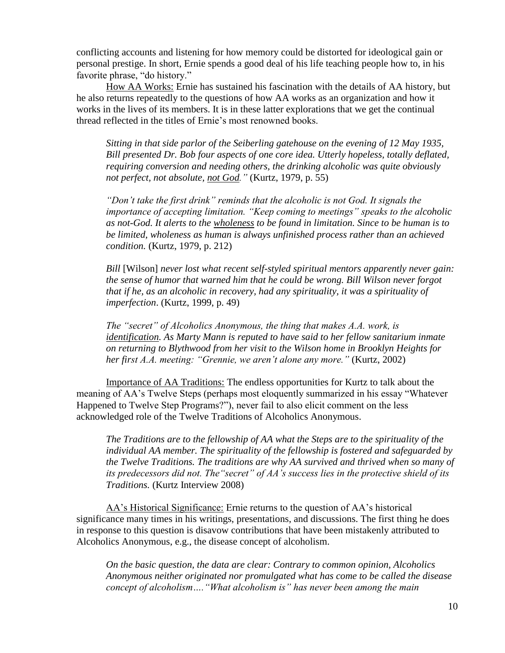conflicting accounts and listening for how memory could be distorted for ideological gain or personal prestige. In short, Ernie spends a good deal of his life teaching people how to, in his favorite phrase, "do history."

How AA Works: Ernie has sustained his fascination with the details of AA history, but he also returns repeatedly to the questions of how AA works as an organization and how it works in the lives of its members. It is in these latter explorations that we get the continual thread reflected in the titles of Ernie's most renowned books.

*Sitting in that side parlor of the Seiberling gatehouse on the evening of 12 May 1935, Bill presented Dr. Bob four aspects of one core idea. Utterly hopeless, totally deflated, requiring conversion and needing others, the drinking alcoholic was quite obviously not perfect, not absolute, not God."* (Kurtz, 1979, p. 55)

*"Don't take the first drink" reminds that the alcoholic is not God. It signals the importance of accepting limitation. "Keep coming to meetings" speaks to the alcoholic as not-God. It alerts to the wholeness to be found in limitation. Since to be human is to be limited, wholeness as human is always unfinished process rather than an achieved condition.* (Kurtz, 1979, p. 212)

*Bill* [Wilson] *never lost what recent self-styled spiritual mentors apparently never gain: the sense of humor that warned him that he could be wrong. Bill Wilson never forgot that if he, as an alcoholic in recovery, had any spirituality, it was a spirituality of imperfection*. (Kurtz, 1999, p. 49)

*The "secret" of Alcoholics Anonymous, the thing that makes A.A. work, is identification. As Marty Mann is reputed to have said to her fellow sanitarium inmate on returning to Blythwood from her visit to the Wilson home in Brooklyn Heights for her first A.A. meeting: "Grennie, we aren't alone any more."* (Kurtz, 2002)

Importance of AA Traditions: The endless opportunities for Kurtz to talk about the meaning of AA's Twelve Steps (perhaps most eloquently summarized in his essay "Whatever Happened to Twelve Step Programs?"), never fail to also elicit comment on the less acknowledged role of the Twelve Traditions of Alcoholics Anonymous.

*The Traditions are to the fellowship of AA what the Steps are to the spirituality of the individual AA member. The spirituality of the fellowship is fostered and safeguarded by the Twelve Traditions. The traditions are why AA survived and thrived when so many of its predecessors did not. The"secret" of AA's success lies in the protective shield of its Traditions.* (Kurtz Interview 2008)

AA's Historical Significance: Ernie returns to the question of AA's historical significance many times in his writings, presentations, and discussions. The first thing he does in response to this question is disavow contributions that have been mistakenly attributed to Alcoholics Anonymous, e.g., the disease concept of alcoholism.

*On the basic question, the data are clear: Contrary to common opinion, Alcoholics Anonymous neither originated nor promulgated what has come to be called the disease concept of alcoholism…."What alcoholism is" has never been among the main*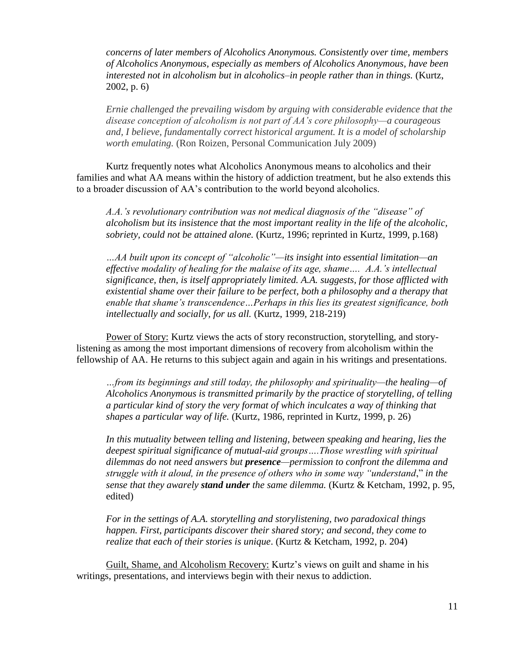*concerns of later members of Alcoholics Anonymous. Consistently over time, members of Alcoholics Anonymous, especially as members of Alcoholics Anonymous, have been interested not in alcoholism but in alcoholics–in people rather than in things.* (Kurtz, 2002, p. 6)

*Ernie challenged the prevailing wisdom by arguing with considerable evidence that the disease conception of alcoholism is not part of AA's core philosophy—a courageous and, I believe, fundamentally correct historical argument. It is a model of scholarship worth emulating.* (Ron Roizen, Personal Communication July 2009)

Kurtz frequently notes what Alcoholics Anonymous means to alcoholics and their families and what AA means within the history of addiction treatment, but he also extends this to a broader discussion of AA's contribution to the world beyond alcoholics.

*A.A.'s revolutionary contribution was not medical diagnosis of the "disease" of alcoholism but its insistence that the most important reality in the life of the alcoholic, sobriety, could not be attained alone.* (Kurtz, 1996; reprinted in Kurtz, 1999, p.168)

*…AA built upon its concept of "alcoholic"—its insight into essential limitation—an effective modality of healing for the malaise of its age, shame…. A.A.'s intellectual significance, then, is itself appropriately limited. A.A. suggests, for those afflicted with existential shame over their failure to be perfect, both a philosophy and a therapy that enable that shame's transcendence…Perhaps in this lies its greatest significance, both intellectually and socially, for us all.* (Kurtz, 1999, 218-219)

Power of Story: Kurtz views the acts of story reconstruction, storytelling, and storylistening as among the most important dimensions of recovery from alcoholism within the fellowship of AA. He returns to this subject again and again in his writings and presentations.

*…from its beginnings and still today, the philosophy and spirituality—the healing—of Alcoholics Anonymous is transmitted primarily by the practice of storytelling, of telling a particular kind of story the very format of which inculcates a way of thinking that shapes a particular way of life.* (Kurtz, 1986, reprinted in Kurtz, 1999, p. 26)

*In this mutuality between telling and listening, between speaking and hearing, lies the deepest spiritual significance of mutual-aid groups….Those wrestling with spiritual dilemmas do not need answers but presence—permission to confront the dilemma and struggle with it aloud, in the presence of others who in some way "understand*," *in the sense that they awarely stand under the same dilemma.* (Kurtz & Ketcham, 1992, p. 95, edited)

*For in the settings of A.A. storytelling and storylistening, two paradoxical things happen. First, participants discover their shared story; and second, they come to realize that each of their stories is unique*. (Kurtz & Ketcham, 1992, p. 204)

Guilt, Shame, and Alcoholism Recovery: Kurtz's views on guilt and shame in his writings, presentations, and interviews begin with their nexus to addiction.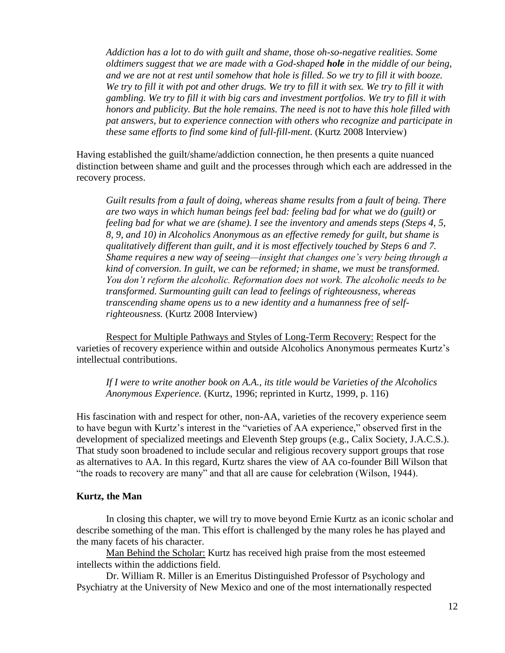*Addiction has a lot to do with guilt and shame, those oh-so-negative realities. Some oldtimers suggest that we are made with a God-shaped hole in the middle of our being, and we are not at rest until somehow that hole is filled. So we try to fill it with booze. We try to fill it with pot and other drugs. We try to fill it with sex. We try to fill it with gambling. We try to fill it with big cars and investment portfolios. We try to fill it with honors and publicity. But the hole remains. The need is not to have this hole filled with pat answers, but to experience connection with others who recognize and participate in these same efforts to find some kind of full-fill-ment*. (Kurtz 2008 Interview)

Having established the guilt/shame/addiction connection, he then presents a quite nuanced distinction between shame and guilt and the processes through which each are addressed in the recovery process.

*Guilt results from a fault of doing, whereas shame results from a fault of being. There are two ways in which human beings feel bad: feeling bad for what we do (guilt) or feeling bad for what we are (shame). I see the inventory and amends steps (Steps 4, 5, 8, 9, and 10) in Alcoholics Anonymous as an effective remedy for guilt, but shame is qualitatively different than guilt, and it is most effectively touched by Steps 6 and 7. Shame requires a new way of seeing—insight that changes one's very being through a kind of conversion. In guilt, we can be reformed; in shame, we must be transformed. You don't reform the alcoholic. Reformation does not work. The alcoholic needs to be transformed. Surmounting guilt can lead to feelings of righteousness, whereas transcending shame opens us to a new identity and a humanness free of selfrighteousness.* (Kurtz 2008 Interview)

Respect for Multiple Pathways and Styles of Long-Term Recovery: Respect for the varieties of recovery experience within and outside Alcoholics Anonymous permeates Kurtz's intellectual contributions.

*If I were to write another book on A.A., its title would be Varieties of the Alcoholics Anonymous Experience.* (Kurtz, 1996; reprinted in Kurtz, 1999, p. 116)

His fascination with and respect for other, non-AA, varieties of the recovery experience seem to have begun with Kurtz's interest in the "varieties of AA experience," observed first in the development of specialized meetings and Eleventh Step groups (e.g., Calix Society, J.A.C.S.). That study soon broadened to include secular and religious recovery support groups that rose as alternatives to AA. In this regard, Kurtz shares the view of AA co-founder Bill Wilson that "the roads to recovery are many" and that all are cause for celebration (Wilson, 1944).

# **Kurtz, the Man**

In closing this chapter, we will try to move beyond Ernie Kurtz as an iconic scholar and describe something of the man. This effort is challenged by the many roles he has played and the many facets of his character.

Man Behind the Scholar: Kurtz has received high praise from the most esteemed intellects within the addictions field.

Dr. William R. Miller is an Emeritus Distinguished Professor of Psychology and Psychiatry at the University of New Mexico and one of the most internationally respected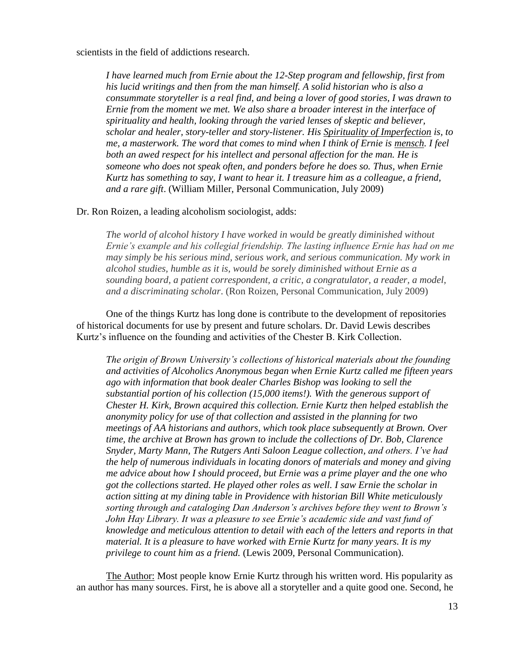scientists in the field of addictions research.

*I have learned much from Ernie about the 12-Step program and fellowship, first from his lucid writings and then from the man himself. A solid historian who is also a consummate storyteller is a real find, and being a lover of good stories, I was drawn to Ernie from the moment we met. We also share a broader interest in the interface of spirituality and health, looking through the varied lenses of skeptic and believer, scholar and healer, story-teller and story-listener. His Spirituality of Imperfection is, to me, a masterwork. The word that comes to mind when I think of Ernie is mensch. I feel both an awed respect for his intellect and personal affection for the man. He is someone who does not speak often, and ponders before he does so. Thus, when Ernie Kurtz has something to say, I want to hear it. I treasure him as a colleague, a friend, and a rare gift*. (William Miller, Personal Communication, July 2009)

#### Dr. Ron Roizen, a leading alcoholism sociologist, adds:

*The world of alcohol history I have worked in would be greatly diminished without Ernie's example and his collegial friendship. The lasting influence Ernie has had on me may simply be his serious mind, serious work, and serious communication. My work in alcohol studies, humble as it is, would be sorely diminished without Ernie as a sounding board, a patient correspondent, a critic, a congratulator, a reader, a model, and a discriminating scholar*. (Ron Roizen, Personal Communication, July 2009)

One of the things Kurtz has long done is contribute to the development of repositories of historical documents for use by present and future scholars. Dr. David Lewis describes Kurtz's influence on the founding and activities of the Chester B. Kirk Collection.

*The origin of Brown University's collections of historical materials about the founding and activities of Alcoholics Anonymous began when Ernie Kurtz called me fifteen years ago with information that book dealer Charles Bishop was looking to sell the substantial portion of his collection (15,000 items!). With the generous support of Chester H. Kirk, Brown acquired this collection. Ernie Kurtz then helped establish the anonymity policy for use of that collection and assisted in the planning for two meetings of AA historians and authors, which took place subsequently at Brown. Over time, the archive at Brown has grown to include the collections of Dr. Bob, Clarence Snyder, Marty Mann, The Rutgers Anti Saloon League collection, and others. I've had the help of numerous individuals in locating donors of materials and money and giving me advice about how I should proceed, but Ernie was a prime player and the one who got the collections started. He played other roles as well. I saw Ernie the scholar in action sitting at my dining table in Providence with historian Bill White meticulously sorting through and cataloging Dan Anderson's archives before they went to Brown's John Hay Library. It was a pleasure to see Ernie's academic side and vast fund of knowledge and meticulous attention to detail with each of the letters and reports in that material. It is a pleasure to have worked with Ernie Kurtz for many years. It is my privilege to count him as a friend.* (Lewis 2009, Personal Communication).

The Author: Most people know Ernie Kurtz through his written word. His popularity as an author has many sources. First, he is above all a storyteller and a quite good one. Second, he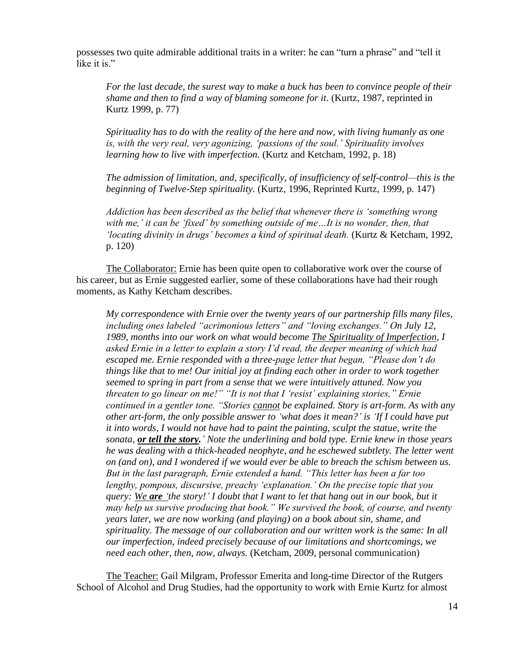possesses two quite admirable additional traits in a writer: he can "turn a phrase" and "tell it like it is."

*For the last decade, the surest way to make a buck has been to convince people of their shame and then to find a way of blaming someone for it*. (Kurtz, 1987, reprinted in Kurtz 1999, p. 77)

*Spirituality has to do with the reality of the here and now, with living humanly as one is, with the very real, very agonizing, 'passions of the soul.' Spirituality involves learning how to live with imperfection.* (Kurtz and Ketcham, 1992, p. 18)

*The admission of limitation, and, specifically, of insufficiency of self-control—this is the beginning of Twelve-Step spirituality.* (Kurtz, 1996, Reprinted Kurtz, 1999, p. 147)

*Addiction has been described as the belief that whenever there is 'something wrong with me,' it can be 'fixed' by something outside of me…It is no wonder, then, that 'locating divinity in drugs' becomes a kind of spiritual death.* (Kurtz & Ketcham, 1992, p. 120)

The Collaborator: Ernie has been quite open to collaborative work over the course of his career, but as Ernie suggested earlier, some of these collaborations have had their rough moments, as Kathy Ketcham describes.

*My correspondence with Ernie over the twenty years of our partnership fills many files, including ones labeled "acrimonious letters" and "loving exchanges." On July 12, 1989, months into our work on what would become The Spirituality of Imperfection, I asked Ernie in a letter to explain a story I'd read, the deeper meaning of which had escaped me. Ernie responded with a three-page letter that began, "Please don't do things like that to me! Our initial joy at finding each other in order to work together seemed to spring in part from a sense that we were intuitively attuned. Now you threaten to go linear on me!" "It is not that I 'resist' explaining stories," Ernie continued in a gentler tone. "Stories cannot be explained. Story is art-form. As with any other art-form, the only possible answer to 'what does it mean?' is 'If I could have put it into words, I would not have had to paint the painting, sculpt the statue, write the sonata, or tell the story.' Note the underlining and bold type. Ernie knew in those years he was dealing with a thick-headed neophyte, and he eschewed subtlety. The letter went on (and on), and I wondered if we would ever be able to breach the schism between us. But in the last paragraph, Ernie extended a hand. "This letter has been a far too lengthy, pompous, discursive, preachy 'explanation.' On the precise topic that you query: We are 'the story!' I doubt that I want to let that hang out in our book, but it may help us survive producing that book." We survived the book, of course, and twenty years later, we are now working (and playing) on a book about sin, shame, and spirituality. The message of our collaboration and our written work is the same: In all our imperfection, indeed precisely because of our limitations and shortcomings, we need each other, then, now, always.* (Ketcham, 2009, personal communication)

The Teacher: Gail Milgram, Professor Emerita and long-time Director of the Rutgers School of Alcohol and Drug Studies, had the opportunity to work with Ernie Kurtz for almost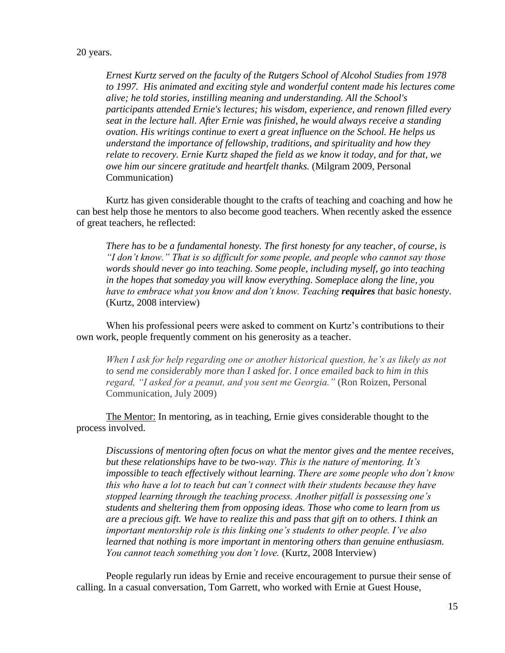### 20 years.

*Ernest Kurtz served on the faculty of the Rutgers School of Alcohol Studies from 1978 to 1997. His animated and exciting style and wonderful content made his lectures come alive; he told stories, instilling meaning and understanding. All the School's participants attended Ernie's lectures; his wisdom, experience, and renown filled every seat in the lecture hall. After Ernie was finished, he would always receive a standing ovation. His writings continue to exert a great influence on the School. He helps us understand the importance of fellowship, traditions, and spirituality and how they relate to recovery. Ernie Kurtz shaped the field as we know it today, and for that, we owe him our sincere gratitude and heartfelt thanks.* (Milgram 2009, Personal Communication)

Kurtz has given considerable thought to the crafts of teaching and coaching and how he can best help those he mentors to also become good teachers. When recently asked the essence of great teachers, he reflected:

*There has to be a fundamental honesty. The first honesty for any teacher, of course, is "I don't know." That is so difficult for some people, and people who cannot say those words should never go into teaching. Some people, including myself, go into teaching in the hopes that someday you will know everything. Someplace along the line, you have to embrace what you know and don't know. Teaching requires that basic honesty.* (Kurtz, 2008 interview)

When his professional peers were asked to comment on Kurtz's contributions to their own work, people frequently comment on his generosity as a teacher.

*When I ask for help regarding one or another historical question, he's as likely as not to send me considerably more than I asked for. I once emailed back to him in this regard, "I asked for a peanut, and you sent me Georgia."* (Ron Roizen, Personal Communication, July 2009)

The Mentor: In mentoring, as in teaching, Ernie gives considerable thought to the process involved.

*Discussions of mentoring often focus on what the mentor gives and the mentee receives, but these relationships have to be two-way. This is the nature of mentoring. It's impossible to teach effectively without learning. There are some people who don't know this who have a lot to teach but can't connect with their students because they have stopped learning through the teaching process. Another pitfall is possessing one's students and sheltering them from opposing ideas. Those who come to learn from us are a precious gift. We have to realize this and pass that gift on to others. I think an important mentorship role is this linking one's students to other people. I've also learned that nothing is more important in mentoring others than genuine enthusiasm. You cannot teach something you don't love.* (Kurtz, 2008 Interview)

People regularly run ideas by Ernie and receive encouragement to pursue their sense of calling. In a casual conversation, Tom Garrett, who worked with Ernie at Guest House,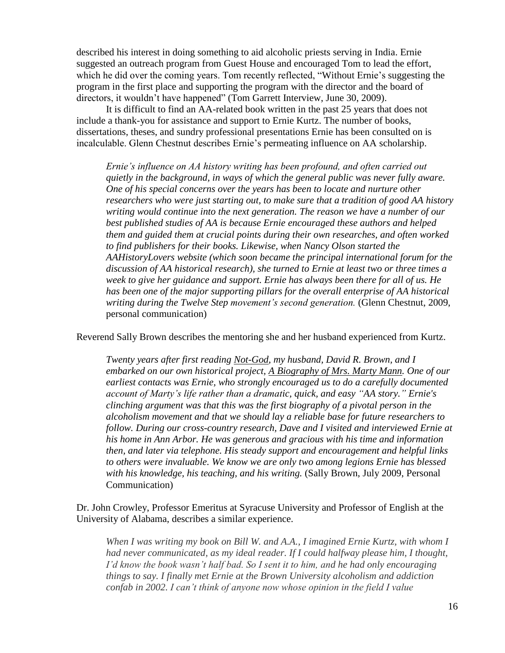described his interest in doing something to aid alcoholic priests serving in India. Ernie suggested an outreach program from Guest House and encouraged Tom to lead the effort, which he did over the coming years. Tom recently reflected, "Without Ernie's suggesting the program in the first place and supporting the program with the director and the board of directors, it wouldn't have happened" (Tom Garrett Interview, June 30, 2009).

It is difficult to find an AA-related book written in the past 25 years that does not include a thank-you for assistance and support to Ernie Kurtz. The number of books, dissertations, theses, and sundry professional presentations Ernie has been consulted on is incalculable. Glenn Chestnut describes Ernie's permeating influence on AA scholarship.

*Ernie's influence on AA history writing has been profound, and often carried out quietly in the background, in ways of which the general public was never fully aware. One of his special concerns over the years has been to locate and nurture other researchers who were just starting out, to make sure that a tradition of good AA history writing would continue into the next generation. The reason we have a number of our best published studies of AA is because Ernie encouraged these authors and helped them and guided them at crucial points during their own researches, and often worked to find publishers for their books. Likewise, when Nancy Olson started the AAHistoryLovers website (which soon became the principal international forum for the discussion of AA historical research), she turned to Ernie at least two or three times a week to give her guidance and support. Ernie has always been there for all of us. He has been one of the major supporting pillars for the overall enterprise of AA historical writing during the Twelve Step movement's second generation.* (Glenn Chestnut, 2009, personal communication)

Reverend Sally Brown describes the mentoring she and her husband experienced from Kurtz.

*Twenty years after first reading Not-God, my husband, David R. Brown, and I embarked on our own historical project, A Biography of Mrs. Marty Mann. One of our earliest contacts was Ernie, who strongly encouraged us to do a carefully documented account of Marty's life rather than a dramatic, quick, and easy "AA story." Ernie's clinching argument was that this was the first biography of a pivotal person in the alcoholism movement and that we should lay a reliable base for future researchers to follow. During our cross-country research, Dave and I visited and interviewed Ernie at his home in Ann Arbor. He was generous and gracious with his time and information then, and later via telephone. His steady support and encouragement and helpful links to others were invaluable. We know we are only two among legions Ernie has blessed with his knowledge, his teaching, and his writing.* (Sally Brown, July 2009, Personal Communication)

Dr. John Crowley, Professor Emeritus at Syracuse University and Professor of English at the University of Alabama, describes a similar experience.

*When I was writing my book on Bill W. and A.A., I imagined Ernie Kurtz, with whom I had never communicated, as my ideal reader. If I could halfway please him, I thought, I'd know the book wasn't half bad. So I sent it to him, and he had only encouraging things to say. I finally met Ernie at the Brown University alcoholism and addiction confab in 2002. I can't think of anyone now whose opinion in the field I value*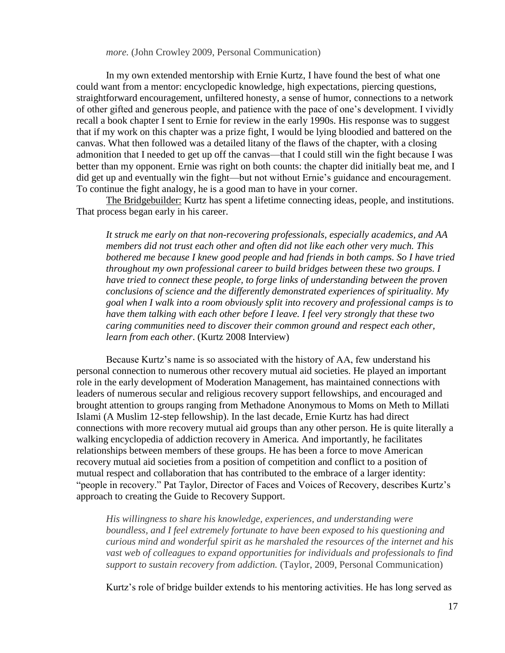*more.* (John Crowley 2009, Personal Communication)

In my own extended mentorship with Ernie Kurtz, I have found the best of what one could want from a mentor: encyclopedic knowledge, high expectations, piercing questions, straightforward encouragement, unfiltered honesty, a sense of humor, connections to a network of other gifted and generous people, and patience with the pace of one's development. I vividly recall a book chapter I sent to Ernie for review in the early 1990s. His response was to suggest that if my work on this chapter was a prize fight, I would be lying bloodied and battered on the canvas. What then followed was a detailed litany of the flaws of the chapter, with a closing admonition that I needed to get up off the canvas—that I could still win the fight because I was better than my opponent. Ernie was right on both counts: the chapter did initially beat me, and I did get up and eventually win the fight—but not without Ernie's guidance and encouragement. To continue the fight analogy, he is a good man to have in your corner.

The Bridgebuilder: Kurtz has spent a lifetime connecting ideas, people, and institutions. That process began early in his career.

*It struck me early on that non-recovering professionals, especially academics, and AA members did not trust each other and often did not like each other very much. This bothered me because I knew good people and had friends in both camps. So I have tried throughout my own professional career to build bridges between these two groups. I have tried to connect these people, to forge links of understanding between the proven conclusions of science and the differently demonstrated experiences of spirituality. My goal when I walk into a room obviously split into recovery and professional camps is to have them talking with each other before I leave. I feel very strongly that these two caring communities need to discover their common ground and respect each other, learn from each other*. (Kurtz 2008 Interview)

Because Kurtz's name is so associated with the history of AA, few understand his personal connection to numerous other recovery mutual aid societies. He played an important role in the early development of Moderation Management, has maintained connections with leaders of numerous secular and religious recovery support fellowships, and encouraged and brought attention to groups ranging from Methadone Anonymous to Moms on Meth to Millati Islami (A Muslim 12-step fellowship). In the last decade, Ernie Kurtz has had direct connections with more recovery mutual aid groups than any other person. He is quite literally a walking encyclopedia of addiction recovery in America. And importantly, he facilitates relationships between members of these groups. He has been a force to move American recovery mutual aid societies from a position of competition and conflict to a position of mutual respect and collaboration that has contributed to the embrace of a larger identity: "people in recovery." Pat Taylor, Director of Faces and Voices of Recovery, describes Kurtz's approach to creating the Guide to Recovery Support.

*His willingness to share his knowledge, experiences, and understanding were boundless, and I feel extremely fortunate to have been exposed to his questioning and curious mind and wonderful spirit as he marshaled the resources of the internet and his vast web of colleagues to expand opportunities for individuals and professionals to find support to sustain recovery from addiction.* (Taylor, 2009, Personal Communication)

Kurtz's role of bridge builder extends to his mentoring activities. He has long served as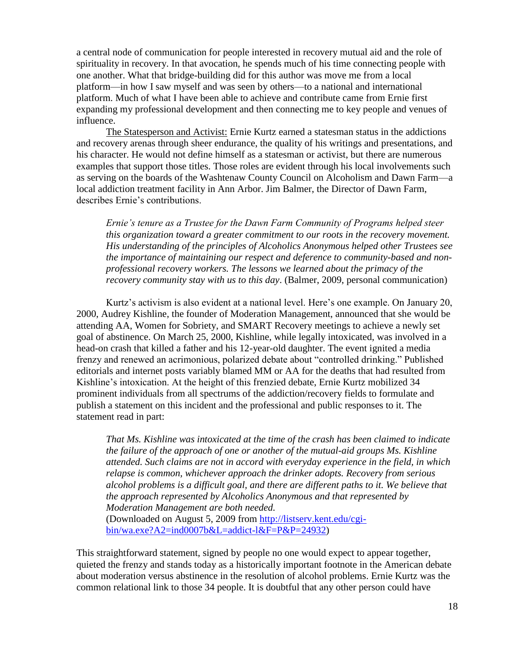a central node of communication for people interested in recovery mutual aid and the role of spirituality in recovery. In that avocation, he spends much of his time connecting people with one another. What that bridge-building did for this author was move me from a local platform—in how I saw myself and was seen by others—to a national and international platform. Much of what I have been able to achieve and contribute came from Ernie first expanding my professional development and then connecting me to key people and venues of influence.

The Statesperson and Activist: Ernie Kurtz earned a statesman status in the addictions and recovery arenas through sheer endurance, the quality of his writings and presentations, and his character. He would not define himself as a statesman or activist, but there are numerous examples that support those titles. Those roles are evident through his local involvements such as serving on the boards of the Washtenaw County Council on Alcoholism and Dawn Farm—a local addiction treatment facility in Ann Arbor. Jim Balmer, the Director of Dawn Farm, describes Ernie's contributions.

*Ernie's tenure as a Trustee for the Dawn Farm Community of Programs helped steer this organization toward a greater commitment to our roots in the recovery movement. His understanding of the principles of Alcoholics Anonymous helped other Trustees see the importance of maintaining our respect and deference to community-based and nonprofessional recovery workers. The lessons we learned about the primacy of the recovery community stay with us to this day*. (Balmer, 2009, personal communication)

Kurtz's activism is also evident at a national level. Here's one example. On January 20, 2000, Audrey Kishline, the founder of Moderation Management, announced that she would be attending AA, Women for Sobriety, and SMART Recovery meetings to achieve a newly set goal of abstinence. On March 25, 2000, Kishline, while legally intoxicated, was involved in a head-on crash that killed a father and his 12-year-old daughter. The event ignited a media frenzy and renewed an acrimonious, polarized debate about "controlled drinking." Published editorials and internet posts variably blamed MM or AA for the deaths that had resulted from Kishline's intoxication. At the height of this frenzied debate, Ernie Kurtz mobilized 34 prominent individuals from all spectrums of the addiction/recovery fields to formulate and publish a statement on this incident and the professional and public responses to it. The statement read in part:

*That Ms. Kishline was intoxicated at the time of the crash has been claimed to indicate the failure of the approach of one or another of the mutual-aid groups Ms. Kishline attended. Such claims are not in accord with everyday experience in the field, in which relapse is common, whichever approach the drinker adopts. Recovery from serious alcohol problems is a difficult goal, and there are different paths to it. We believe that the approach represented by Alcoholics Anonymous and that represented by Moderation Management are both needed.*  (Downloaded on August 5, 2009 from [http://listserv.kent.edu/cgi](http://listserv.kent.edu/cgi-bin/wa.exe?A2=ind0007b&L=addict-l&F=P&P=24932)[bin/wa.exe?A2=ind0007b&L=addict-l&F=P&P=24932\)](http://listserv.kent.edu/cgi-bin/wa.exe?A2=ind0007b&L=addict-l&F=P&P=24932)

This straightforward statement, signed by people no one would expect to appear together, quieted the frenzy and stands today as a historically important footnote in the American debate about moderation versus abstinence in the resolution of alcohol problems. Ernie Kurtz was the common relational link to those 34 people. It is doubtful that any other person could have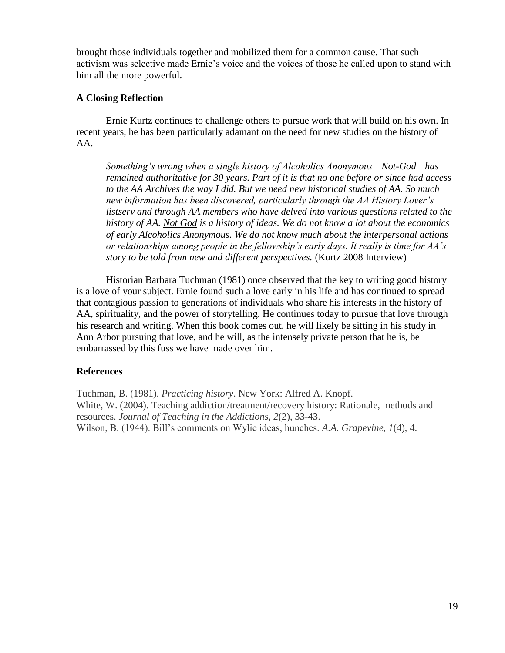brought those individuals together and mobilized them for a common cause. That such activism was selective made Ernie's voice and the voices of those he called upon to stand with him all the more powerful.

# **A Closing Reflection**

Ernie Kurtz continues to challenge others to pursue work that will build on his own. In recent years, he has been particularly adamant on the need for new studies on the history of AA.

*Something's wrong when a single history of Alcoholics Anonymous—Not-God—has remained authoritative for 30 years. Part of it is that no one before or since had access to the AA Archives the way I did. But we need new historical studies of AA. So much new information has been discovered, particularly through the AA History Lover's listserv and through AA members who have delved into various questions related to the history of AA. Not God is a history of ideas. We do not know a lot about the economics of early Alcoholics Anonymous. We do not know much about the interpersonal actions or relationships among people in the fellowship's early days. It really is time for AA's story to be told from new and different perspectives.* (Kurtz 2008 Interview)

Historian Barbara Tuchman (1981) once observed that the key to writing good history is a love of your subject. Ernie found such a love early in his life and has continued to spread that contagious passion to generations of individuals who share his interests in the history of AA, spirituality, and the power of storytelling. He continues today to pursue that love through his research and writing. When this book comes out, he will likely be sitting in his study in Ann Arbor pursuing that love, and he will, as the intensely private person that he is, be embarrassed by this fuss we have made over him.

# **References**

Tuchman, B. (1981). *Practicing history*. New York: Alfred A. Knopf. White, W. (2004). Teaching addiction/treatment/recovery history: Rationale, methods and resources. *Journal of Teaching in the Addictions, 2*(2), 33-43. Wilson, B. (1944). Bill's comments on Wylie ideas, hunches. *A.A. Grapevine, 1*(4), 4.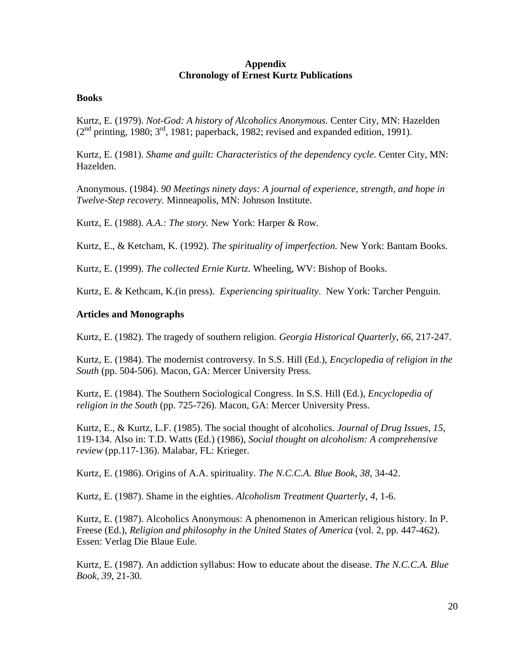## **Appendix Chronology of Ernest Kurtz Publications**

## **Books**

Kurtz, E. (1979). *Not-God: A history of Alcoholics Anonymous.* Center City, MN: Hazelden  $(2<sup>nd</sup>$  printing, 1980;  $3<sup>rd</sup>$ , 1981; paperback, 1982; revised and expanded edition, 1991).

Kurtz, E. (1981). *Shame and guilt: Characteristics of the dependency cycle.* Center City, MN: Hazelden.

Anonymous. (1984). *90 Meetings ninety days: A journal of experience, strength, and hope in Twelve-Step recovery.* Minneapolis, MN: Johnson Institute.

Kurtz, E. (1988). *A.A.: The story.* New York: Harper & Row*.*

Kurtz, E., & Ketcham, K. (1992). *The spirituality of imperfection.* New York: Bantam Books.

Kurtz, E. (1999). *The collected Ernie Kurtz.* Wheeling, WV: Bishop of Books.

Kurtz, E. & Kethcam, K.(in press). *Experiencing spirituality*. New York: Tarcher Penguin.

# **Articles and Monographs**

Kurtz, E. (1982). The tragedy of southern religion. *Georgia Historical Quarterly, 66,* 217-247.

Kurtz, E. (1984). The modernist controversy. In S.S. Hill (Ed.), *Encyclopedia of religion in the South* (pp. 504-506). Macon, GA: Mercer University Press.

Kurtz, E. (1984). The Southern Sociological Congress. In S.S. Hill (Ed.), *Encyclopedia of religion in the South* (pp. 725-726). Macon, GA: Mercer University Press.

Kurtz, E., & Kurtz, L.F. (1985). The social thought of alcoholics. *Journal of Drug Issues*, *15*, 119-134. Also in: T.D. Watts (Ed.) (1986), *Social thought on alcoholism: A comprehensive review* (pp.117-136). Malabar, FL: Krieger.

Kurtz, E. (1986). Origins of A.A. spirituality. *The N.C.C.A. Blue Book, 38*, 34-42.

Kurtz, E. (1987). Shame in the eighties. *Alcoholism Treatment Quarterly*, *4*, 1-6.

Kurtz, E. (1987). Alcoholics Anonymous: A phenomenon in American religious history. In P. Freese (Ed.), *Religion and philosophy in the United States of America* (vol. 2, pp. 447-462). Essen: Verlag Die Blaue Eule.

Kurtz, E. (1987). An addiction syllabus: How to educate about the disease. *The N.C.C.A. Blue Book, 39*, 21-30.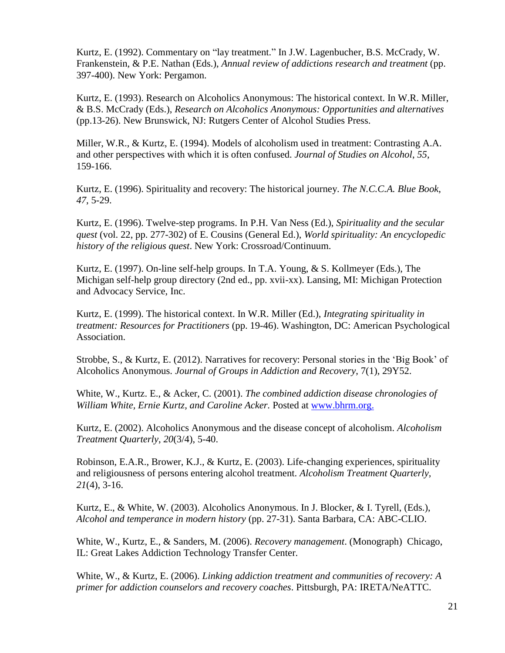Kurtz, E. (1992). Commentary on "lay treatment." In J.W. Lagenbucher, B.S. McCrady, W. Frankenstein, & P.E. Nathan (Eds.), *Annual review of addictions research and treatment* (pp. 397-400). New York: Pergamon.

Kurtz, E. (1993). Research on Alcoholics Anonymous: The historical context. In W.R. Miller, & B.S. McCrady (Eds.), *Research on Alcoholics Anonymous: Opportunities and alternatives*  (pp.13-26). New Brunswick, NJ: Rutgers Center of Alcohol Studies Press.

Miller, W.R., & Kurtz, E. (1994). Models of alcoholism used in treatment: Contrasting A.A. and other perspectives with which it is often confused. *Journal of Studies on Alcohol*, *55*, 159-166.

Kurtz, E. (1996). Spirituality and recovery: The historical journey. *The N.C.C.A. Blue Book*, *47*, 5-29.

Kurtz, E. (1996). Twelve-step programs. In P.H. Van Ness (Ed.), *Spirituality and the secular quest* (vol. 22, pp. 277-302) of E. Cousins (General Ed.), *World spirituality: An encyclopedic history of the religious quest*. New York: Crossroad/Continuum.

Kurtz, E. (1997). On-line self-help groups. In T.A. Young, & S. Kollmeyer (Eds.), The Michigan self-help group directory (2nd ed., pp. xvii-xx). Lansing, MI: Michigan Protection and Advocacy Service, Inc.

Kurtz, E. (1999). The historical context. In W.R. Miller (Ed.), *Integrating spirituality in treatment: Resources for Practitioners* (pp. 19-46). Washington, DC: American Psychological Association.

Strobbe, S., & Kurtz, E. (2012). Narratives for recovery: Personal stories in the 'Big Book' of Alcoholics Anonymous. *Journal of Groups in Addiction and Recovery*, 7(1), 29Y52.

White, W., Kurtz. E., & Acker, C. (2001). *The combined addiction disease chronologies of William White, Ernie Kurtz, and Caroline Acker.* Posted at www.bhrm.org.

Kurtz, E. (2002). Alcoholics Anonymous and the disease concept of alcoholism. *Alcoholism Treatment Quarterly*, *20*(3/4), 5-40.

Robinson, E.A.R., Brower, K.J., & Kurtz, E. (2003). Life-changing experiences, spirituality and religiousness of persons entering alcohol treatment. *Alcoholism Treatment Quarterly, 21*(4), 3-16.

Kurtz, E., & White, W. (2003). Alcoholics Anonymous. In J. Blocker, & I. Tyrell, (Eds.), *Alcohol and temperance in modern history* (pp. 27-31). Santa Barbara, CA: ABC-CLIO.

White, W., Kurtz, E., & Sanders, M. (2006). *Recovery management*. (Monograph) Chicago, IL: Great Lakes Addiction Technology Transfer Center.

White, W., & Kurtz, E. (2006). *Linking addiction treatment and communities of recovery: A primer for addiction counselors and recovery coaches*. Pittsburgh, PA: IRETA/NeATTC.